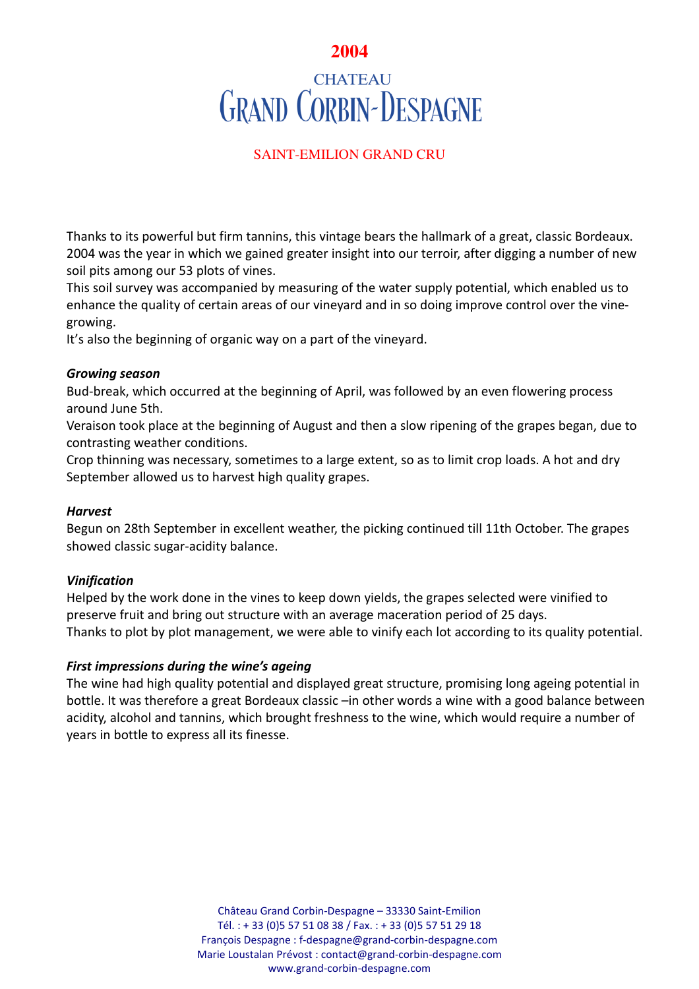# **2004 CHATEAU GRAND CORBIN-DESPAGNE**

# SAINT-EMILION GRAND CRU

Thanks to its powerful but firm tannins, this vintage bears the hallmark of a great, classic Bordeaux. 2004 was the year in which we gained greater insight into our terroir, after digging a number of new soil pits among our 53 plots of vines.

This soil survey was accompanied by measuring of the water supply potential, which enabled us to enhance the quality of certain areas of our vineyard and in so doing improve control over the vinegrowing.

It's also the beginning of organic way on a part of the vineyard.

## *Growing season*

Bud-break, which occurred at the beginning of April, was followed by an even flowering process around June 5th.

Veraison took place at the beginning of August and then a slow ripening of the grapes began, due to contrasting weather conditions.

Crop thinning was necessary, sometimes to a large extent, so as to limit crop loads. A hot and dry September allowed us to harvest high quality grapes.

## *Harvest*

Begun on 28th September in excellent weather, the picking continued till 11th October. The grapes showed classic sugar-acidity balance.

## *Vinification*

Helped by the work done in the vines to keep down yields, the grapes selected were vinified to preserve fruit and bring out structure with an average maceration period of 25 days. Thanks to plot by plot management, we were able to vinify each lot according to its quality potential.

## *First impressions during the wine's ageing*

The wine had high quality potential and displayed great structure, promising long ageing potential in bottle. It was therefore a great Bordeaux classic –in other words a wine with a good balance between acidity, alcohol and tannins, which brought freshness to the wine, which would require a number of years in bottle to express all its finesse.